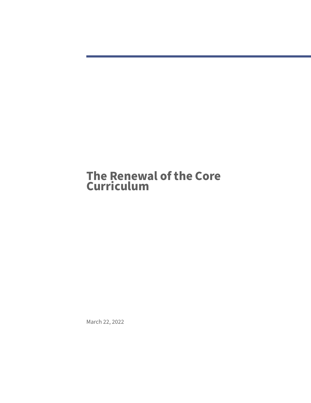# **The Renewal of the Core Curriculum**

March 22, 2022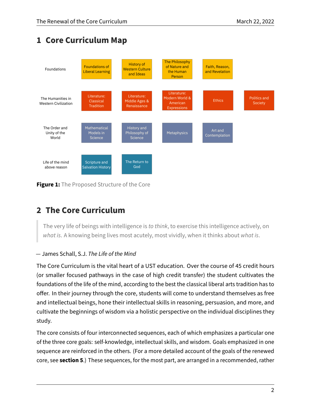# **1 Core Curriculum Map**



**Figure 1:** The Proposed Structure of the Core

# **2 The Core Curriculum**

The very life of beings with intelligence is to think, to exercise this intelligence actively, on what is. A knowing being lives most acutely, most vividly, when it thinks about what is.

## — James Schall, S.J. The Life of the Mind

The Core Curriculum is the vital heart of a UST education. Over the course of 45 credit hours (or smaller focused pathways in the case of high credit transfer) the student cultivates the foundations of the life of the mind, according to the best the classical liberal arts tradition has to offer. In their journey through the core, students will come to understand themselves as free and intellectual beings, hone their intellectual skills in reasoning, persuasion, and more, and cultivate the beginnings of wisdom via a holistic perspective on the individual disciplines they study.

The core consists of four interconnected sequences, each of which emphasizes a particular one of the three core goals: self-knowledge, intellectual skills, and wisdom. Goals emphasized in one sequence are reinforced in the others. (For a more detailed account of the goals of the renewed core, see **section [5](#page-3-0)**.) These sequences, for the most part, are arranged in a recommended, rather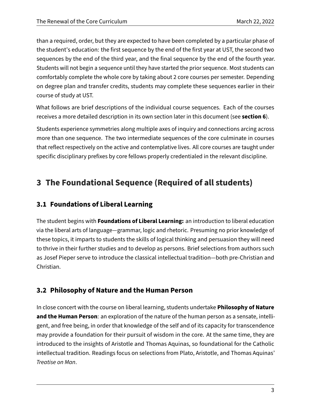than a required, order, but they are expected to have been completed by a particular phase of the student's education: the first sequence by the end of the first year at UST, the second two sequences by the end of the third year, and the final sequence by the end of the fourth year. Students will not begin a sequence until they have started the prior sequence. Most students can comfortably complete the whole core by taking about 2 core courses per semester. Depending on degree plan and transfer credits, students may complete these sequences earlier in their course of study at UST.

What follows are brief descriptions of the individual course sequences. Each of the courses receives a more detailed description in its own section later in this document (see **section [6](#page-7-0)**).

Students experience symmetries along multiple axes of inquiry and connections arcing across more than one sequence. The two intermediate sequences of the core culminate in courses that reflect respectively on the active and contemplative lives. All core courses are taught under specific disciplinary prefixes by core fellows properly credentialed in the relevant discipline.

# **3 The Foundational Sequence (Required of all students)**

# **3.1 Foundations of Liberal Learning**

The student begins with **Foundations of Liberal Learning:** an introduction to liberal education via the liberal arts of language—grammar, logic and rhetoric. Presuming no prior knowledge of these topics, it imparts to students the skills of logical thinking and persuasion they will need to thrive in their further studies and to develop as persons. Brief selections from authors such as Josef Pieper serve to introduce the classical intellectual tradition—both pre-Christian and Christian.

# **3.2 Philosophy of Nature and the Human Person**

In close concert with the course on liberal learning, students undertake **Philosophy of Nature and the Human Person**: an exploration of the nature of the human person as a sensate, intelligent, and free being, in order that knowledge of the self and of its capacity for transcendence may provide a foundation for their pursuit of wisdom in the core. At the same time, they are introduced to the insights of Aristotle and Thomas Aquinas, so foundational for the Catholic intellectual tradition. Readings focus on selections from Plato, Aristotle, and Thomas Aquinas' Treatise on Man.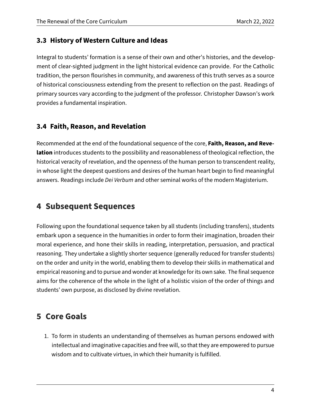## **3.3 History of Western Culture and Ideas**

Integral to students' formation is a sense of their own and other's histories, and the development of clear-sighted judgment in the light historical evidence can provide. For the Catholic tradition, the person flourishes in community, and awareness of this truth serves as a source of historical consciousness extending from the present to reflection on the past. Readings of primary sources vary according to the judgment of the professor. Christopher Dawson's work provides a fundamental inspiration.

# **3.4 Faith, Reason, and Revelation**

Recommended at the end of the foundational sequence of the core, **Faith, Reason, and Revelation** introduces students to the possibility and reasonableness of theological reflection, the historical veracity of revelation, and the openness of the human person to transcendent reality, in whose light the deepest questions and desires of the human heart begin to find meaningful answers. Readings include Dei Verbum and other seminal works of the modern Magisterium.

# **4 Subsequent Sequences**

Following upon the foundational sequence taken by all students (including transfers), students embark upon a sequence in the humanities in order to form their imagination, broaden their moral experience, and hone their skills in reading, interpretation, persuasion, and practical reasoning. They undertake a slightly shorter sequence (generally reduced for transfer students) on the order and unity in the world, enabling them to develop their skills in mathematical and empirical reasoning and to pursue and wonder at knowledge for its own sake. The final sequence aims for the coherence of the whole in the light of a holistic vision of the order of things and students' own purpose, as disclosed by divine revelation.

# <span id="page-3-0"></span>**5 Core Goals**

1. To form in students an understanding of themselves as human persons endowed with intellectual and imaginative capacities and free will, so that they are empowered to pursue wisdom and to cultivate virtues, in which their humanity is fulfilled.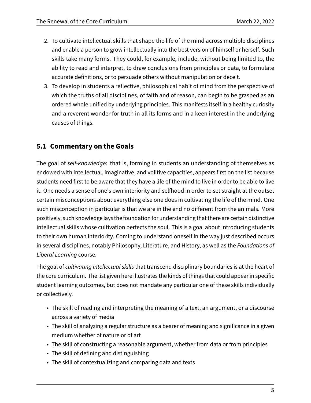- 2. To cultivate intellectual skills that shape the life of the mind across multiple disciplines and enable a person to grow intellectually into the best version of himself or herself. Such skills take many forms. They could, for example, include, without being limited to, the ability to read and interpret, to draw conclusions from principles or data, to formulate accurate definitions, or to persuade others without manipulation or deceit.
- 3. To develop in students a reflective, philosophical habit of mind from the perspective of which the truths of all disciplines, of faith and of reason, can begin to be grasped as an ordered whole unified by underlying principles. This manifests itself in a healthy curiosity and a reverent wonder for truth in all its forms and in a keen interest in the underlying causes of things.

# **5.1 Commentary on the Goals**

The goal of self-knowledge: that is, forming in students an understanding of themselves as endowed with intellectual, imaginative, and volitive capacities, appears first on the list because students need first to be aware that they have a life of the mind to live in order to be able to live it. One needs a sense of one's own interiority and selfhood in order to set straight at the outset certain misconceptions about everything else one does in cultivating the life of the mind. One such misconception in particular is that we are in the end no different from the animals. More positively, such knowledge lays the foundation for understanding that there are certain distinctive intellectual skills whose cultivation perfects the soul. This is a goal about introducing students to their own human interiority. Coming to understand oneself in the way just described occurs in several disciplines, notably Philosophy, Literature, and History, as well as the Foundations of Liberal Learning course.

The goal of cultivating intellectual skills that transcend disciplinary boundaries is at the heart of the core curriculum. The list given here illustrates the kinds of things that could appear in specific student learning outcomes, but does not mandate any particular one of these skills individually or collectively.

- The skill of reading and interpreting the meaning of a text, an argument, or a discourse across a variety of media
- The skill of analyzing a regular structure as a bearer of meaning and significance in a given medium whether of nature or of art
- The skill of constructing a reasonable argument, whether from data or from principles
- The skill of defining and distinguishing
- The skill of contextualizing and comparing data and texts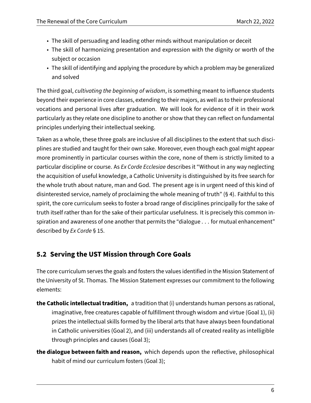- The skill of persuading and leading other minds without manipulation or deceit
- The skill of harmonizing presentation and expression with the dignity or worth of the subject or occasion
- The skill of identifying and applying the procedure by which a problem may be generalized and solved

The third goal, cultivating the beginning of wisdom, is something meant to influence students beyond their experience in core classes, extending to their majors, as well as to their professional vocations and personal lives after graduation. We will look for evidence of it in their work particularly as they relate one discipline to another or show that they can reflect on fundamental principles underlying their intellectual seeking.

Taken as a whole, these three goals are inclusive of all disciplines to the extent that such disciplines are studied and taught for their own sake. Moreover, even though each goal might appear more prominently in particular courses within the core, none of them is strictly limited to a particular discipline or course. As Ex Corde Ecclesiae describes it "Without in any way neglecting the acquisition of useful knowledge, a Catholic University is distinguished by its free search for the whole truth about nature, man and God. The present age is in urgent need of this kind of disinterested service, namely of proclaiming the whole meaning of truth" (§ 4). Faithful to this spirit, the core curriculum seeks to foster a broad range of disciplines principally for the sake of truth itself rather than for the sake of their particular usefulness. It is precisely this common inspiration and awareness of one another that permits the "dialogue . . . for mutual enhancement" described by Ex Corde § 15.

# **5.2 Serving the UST Mission through Core Goals**

The core curriculum serves the goals and fosters the values identified in the Mission Statement of the University of St. Thomas. The Mission Statement expresses our commitment to the following elements:

- **the Catholic intellectual tradition,** a tradition that (i) understands human persons as rational, imaginative, free creatures capable of fulfillment through wisdom and virtue (Goal 1), (ii) prizes the intellectual skills formed by the liberal arts that have always been foundational in Catholic universities (Goal 2), and (iii) understands all of created reality as intelligible through principles and causes (Goal 3);
- **the dialogue between faith and reason,** which depends upon the reflective, philosophical habit of mind our curriculum fosters (Goal 3);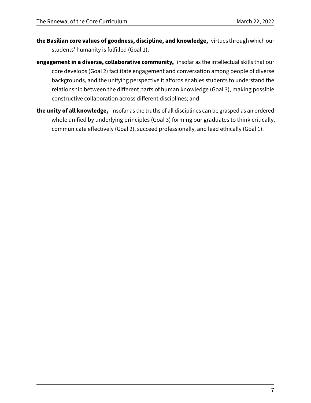- **the Basilian core values of goodness, discipline, and knowledge,** virtues through which our students' humanity is fulfilled (Goal 1);
- **engagement in a diverse, collaborative community,** insofar as the intellectual skills that our core develops (Goal 2) facilitate engagement and conversation among people of diverse backgrounds, and the unifying perspective it affords enables students to understand the relationship between the different parts of human knowledge (Goal 3), making possible constructive collaboration across different disciplines; and
- **the unity of all knowledge,** insofar as the truths of all disciplines can be grasped as an ordered whole unified by underlying principles (Goal 3) forming our graduates to think critically, communicate effectively (Goal 2), succeed professionally, and lead ethically (Goal 1).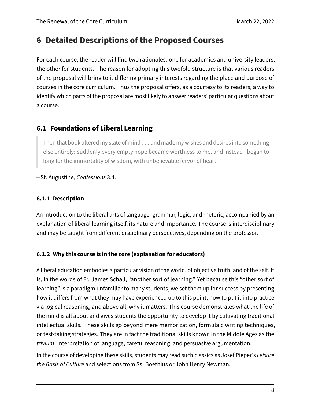# <span id="page-7-0"></span>**6 Detailed Descriptions of the Proposed Courses**

For each course, the reader will find two rationales: one for academics and university leaders, the other for students. The reason for adopting this twofold structure is that various readers of the proposal will bring to it differing primary interests regarding the place and purpose of courses in the core curriculum. Thus the proposal offers, as a courtesy to its readers, a way to identify which parts of the proposal are most likely to answer readers' particular questions about a course.

# **6.1 Foundations of Liberal Learning**

Then that book altered my state of mind . . . and made my wishes and desires into something else entirely: suddenly every empty hope became worthless to me, and instead I began to long for the immortality of wisdom, with unbelievable fervor of heart.

—St. Augustine, Confessions 3.4.

#### **6.1.1 Description**

An introduction to the liberal arts of language: grammar, logic, and rhetoric, accompanied by an explanation of liberal learning itself, its nature and importance. The course is interdisciplinary and may be taught from different disciplinary perspectives, depending on the professor.

#### **6.1.2 Why this course is in the core (explanation for educators)**

A liberal education embodies a particular vision of the world, of objective truth, and of the self. It is, in the words of Fr. James Schall, "another sort of learning." Yet because this "other sort of learning" is a paradigm unfamiliar to many students, we set them up for success by presenting how it differs from what they may have experienced up to this point, how to put it into practice via logical reasoning, and above all, why it matters. This course demonstrates what the life of the mind is all about and gives students the opportunity to develop it by cultivating traditional intellectual skills. These skills go beyond mere memorization, formulaic writing techniques, or test-taking strategies. They are in fact the traditional skills known in the Middle Ages as the trivium: interpretation of language, careful reasoning, and persuasive argumentation.

In the course of developing these skills, students may read such classics as Josef Pieper's Leisure the Basis of Culture and selections from Ss. Boethius or John Henry Newman.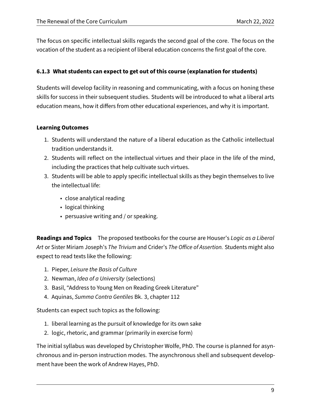The focus on specific intellectual skills regards the second goal of the core. The focus on the vocation of the student as a recipient of liberal education concerns the first goal of the core.

#### **6.1.3 What students can expect to get out of this course (explanation for students)**

Students will develop facility in reasoning and communicating, with a focus on honing these skills for success in their subsequent studies. Students will be introduced to what a liberal arts education means, how it differs from other educational experiences, and why it is important.

#### **Learning Outcomes**

- 1. Students will understand the nature of a liberal education as the Catholic intellectual tradition understands it.
- 2. Students will reflect on the intellectual virtues and their place in the life of the mind, including the practices that help cultivate such virtues.
- 3. Students will be able to apply specific intellectual skills as they begin themselves to live the intellectual life:
	- close analytical reading
	- logical thinking
	- persuasive writing and / or speaking.

**Readings and Topics** The proposed textbooks for the course are Houser's Logic as a Liberal Art or Sister Miriam Joseph's The Trivium and Crider's The Office of Assertion. Students might also expect to read texts like the following:

- 1. Pieper, Leisure the Basis of Culture
- 2. Newman, Idea of a University (selections)
- 3. Basil, "Address to Young Men on Reading Greek Literature"
- 4. Aquinas, Summa Contra Gentiles Bk. 3, chapter 112

Students can expect such topics as the following:

- 1. liberal learning as the pursuit of knowledge for its own sake
- 2. logic, rhetoric, and grammar (primarily in exercise form)

The initial syllabus was developed by Christopher Wolfe, PhD. The course is planned for asynchronous and in-person instruction modes. The asynchronous shell and subsequent development have been the work of Andrew Hayes, PhD.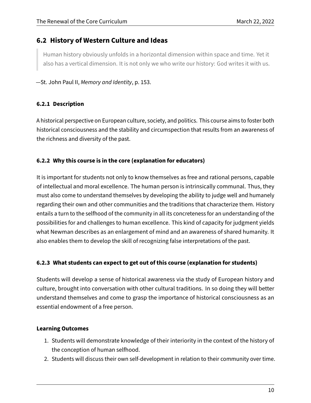## **6.2 History of Western Culture and Ideas**

Human history obviously unfolds in a horizontal dimension within space and time. Yet it also has a vertical dimension. It is not only we who write our history: God writes it with us.

—St. John Paul II, Memory and Identity, p. 153.

#### **6.2.1 Description**

A historical perspective on European culture, society, and politics. This course aims to foster both historical consciousness and the stability and circumspection that results from an awareness of the richness and diversity of the past.

#### **6.2.2 Why this course is in the core (explanation for educators)**

It is important for students not only to know themselves as free and rational persons, capable of intellectual and moral excellence. The human person is intrinsically communal. Thus, they must also come to understand themselves by developing the ability to judge well and humanely regarding their own and other communities and the traditions that characterize them. History entails a turn to the selfhood of the community in all its concreteness for an understanding of the possibilities for and challenges to human excellence. This kind of capacity for judgment yields what Newman describes as an enlargement of mind and an awareness of shared humanity. It also enables them to develop the skill of recognizing false interpretations of the past.

#### **6.2.3 What students can expect to get out of this course (explanation for students)**

Students will develop a sense of historical awareness via the study of European history and culture, brought into conversation with other cultural traditions. In so doing they will better understand themselves and come to grasp the importance of historical consciousness as an essential endowment of a free person.

#### **Learning Outcomes**

- 1. Students will demonstrate knowledge of their interiority in the context of the history of the conception of human selfhood.
- 2. Students will discuss their own self-development in relation to their community over time.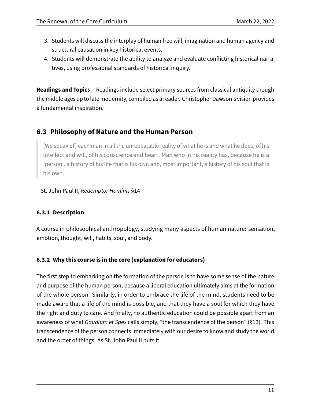- 3. Students will discuss the interplay of human free will, imagination and human agency and structural causation in key historical events.
- 4. Students will demonstrate the ability to analyze and evaluate conflicting historical narratives, using professional standards of historical inquiry.

**Readings and Topics** Readings include select primary sources from classical antiquity though the middle ages up to late modernity, compiled as a reader. Christopher Dawson's vision provides a fundamental inspiration.

# **6.3 Philosophy of Nature and the Human Person**

[We speak of] each man in all the unrepeatable reality of what he is and what he does, of his intellect and will, of his conscience and heart. Man who in his reality has, because he is a "person", a history of his life that is his own and, most important, a history of his soul that is his own.

—St. John Paul II, Redemptor Hominis §14

#### **6.3.1 Description**

A course in philosophical anthropology, studying many aspects of human nature: sensation, emotion, thought, will, habits, soul, and body.

#### **6.3.2 Why this course is in the core (explanation for educators)**

The first step to embarking on the formation of the person is to have some sense of the nature and purpose of the human person, because a liberal education ultimately aims at the formation of the whole person. Similarly, in order to embrace the life of the mind, students need to be made aware that a life of the mind is possible, and that they have a soul for which they have the right and duty to care. And finally, no authentic education could be possible apart from an awareness of what Gaudium et Spes calls simply, "the transcendence of the person" (§13). This transcendence of the person connects immediately with our desire to know and study the world and the order of things. As St. John Paul II puts it,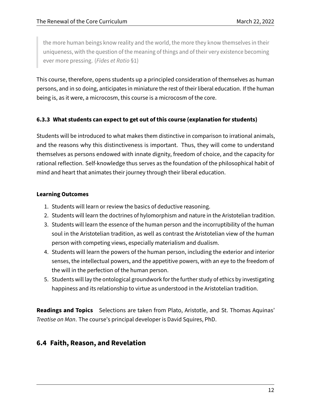the more human beings know reality and the world, the more they know themselves in their uniqueness, with the question of the meaning of things and of their very existence becoming ever more pressing. (Fides et Ratio §1)

This course, therefore, opens students up a principled consideration of themselves as human persons, and in so doing, anticipates in miniature the rest of their liberal education. If the human being is, as it were, a microcosm, this course is a microcosm of the core.

#### **6.3.3 What students can expect to get out of this course (explanation for students)**

Students will be introduced to what makes them distinctive in comparison to irrational animals, and the reasons why this distinctiveness is important. Thus, they will come to understand themselves as persons endowed with innate dignity, freedom of choice, and the capacity for rational reflection. Self-knowledge thus serves as the foundation of the philosophical habit of mind and heart that animates their journey through their liberal education.

#### **Learning Outcomes**

- 1. Students will learn or review the basics of deductive reasoning.
- 2. Students will learn the doctrines of hylomorphism and nature in the Aristotelian tradition.
- 3. Students will learn the essence of the human person and the incorruptibility of the human soul in the Aristotelian tradition, as well as contrast the Aristotelian view of the human person with competing views, especially materialism and dualism.
- 4. Students will learn the powers of the human person, including the exterior and interior senses, the intellectual powers, and the appetitive powers, with an eye to the freedom of the will in the perfection of the human person.
- 5. Students will lay the ontological groundwork for the further study of ethics by investigating happiness and its relationship to virtue as understood in the Aristotelian tradition.

**Readings and Topics** Selections are taken from Plato, Aristotle, and St. Thomas Aquinas' Treatise on Man. The course's principal developer is David Squires, PhD.

## **6.4 Faith, Reason, and Revelation**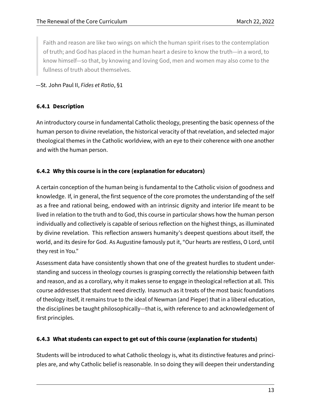Faith and reason are like two wings on which the human spirit rises to the contemplation of truth; and God has placed in the human heart a desire to know the truth—in a word, to know himself—so that, by knowing and loving God, men and women may also come to the fullness of truth about themselves.

—St. John Paul II, Fides et Ratio, §1

#### **6.4.1 Description**

An introductory course in fundamental Catholic theology, presenting the basic openness of the human person to divine revelation, the historical veracity of that revelation, and selected major theological themes in the Catholic worldview, with an eye to their coherence with one another and with the human person.

#### **6.4.2 Why this course is in the core (explanation for educators)**

A certain conception of the human being is fundamental to the Catholic vision of goodness and knowledge. If, in general, the first sequence of the core promotes the understanding of the self as a free and rational being, endowed with an intrinsic dignity and interior life meant to be lived in relation to the truth and to God, this course in particular shows how the human person individually and collectively is capable of serious reflection on the highest things, as illuminated by divine revelation. This reflection answers humanity's deepest questions about itself, the world, and its desire for God. As Augustine famously put it, "Our hearts are restless, O Lord, until they rest in You."

Assessment data have consistently shown that one of the greatest hurdles to student understanding and success in theology courses is grasping correctly the relationship between faith and reason, and as a corollary, why it makes sense to engage in theological reflection at all. This course addresses that student need directly. Inasmuch as it treats of the most basic foundations of theology itself, it remains true to the ideal of Newman (and Pieper) that in a liberal education, the disciplines be taught philosophically—that is, with reference to and acknowledgement of first principles.

#### **6.4.3 What students can expect to get out of this course (explanation for students)**

Students will be introduced to what Catholic theology is, what its distinctive features and principles are, and why Catholic belief is reasonable. In so doing they will deepen their understanding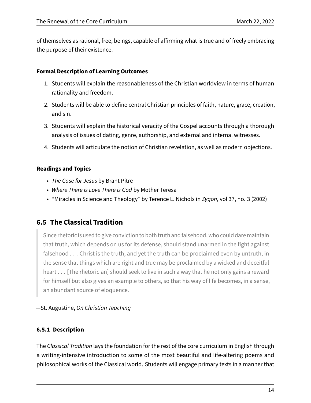of themselves as rational, free, beings, capable of affirming what is true and of freely embracing the purpose of their existence.

#### **Formal Description of Learning Outcomes**

- 1. Students will explain the reasonableness of the Christian worldview in terms of human rationality and freedom.
- 2. Students will be able to define central Christian principles of faith, nature, grace, creation, and sin.
- 3. Students will explain the historical veracity of the Gospel accounts through a thorough analysis of issues of dating, genre, authorship, and external and internal witnesses.
- 4. Students will articulate the notion of Christian revelation, as well as modern objections.

#### **Readings and Topics**

- The Case for Jesus by Brant Pitre
- Where There is Love There is God by Mother Teresa
- "Miracles in Science and Theology" by Terence L. Nichols in Zygon, vol 37, no. 3 (2002)

# **6.5 The Classical Tradition**

Since rhetoric is used to give conviction to both truth and falsehood, who could dare maintain that truth, which depends on us for its defense, should stand unarmed in the fight against falsehood . . . Christ is the truth, and yet the truth can be proclaimed even by untruth, in the sense that things which are right and true may be proclaimed by a wicked and deceitful heart . . . [The rhetorician] should seek to live in such a way that he not only gains a reward for himself but also gives an example to others, so that his way of life becomes, in a sense, an abundant source of eloquence.

#### —St. Augustine, On Christian Teaching

#### **6.5.1 Description**

The Classical Tradition lays the foundation for the rest of the core curriculum in English through a writing-intensive introduction to some of the most beautiful and life-altering poems and philosophical works of the Classical world. Students will engage primary texts in a manner that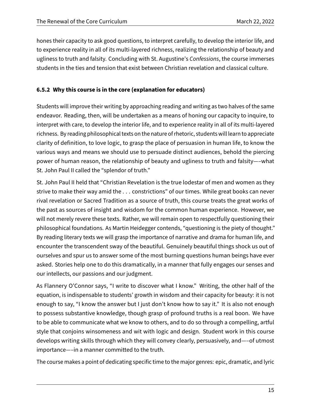hones their capacity to ask good questions, to interpret carefully, to develop the interior life, and to experience reality in all of its multi-layered richness, realizing the relationship of beauty and ugliness to truth and falsity. Concluding with St. Augustine's Confessions, the course immerses students in the ties and tension that exist between Christian revelation and classical culture.

#### **6.5.2 Why this course is in the core (explanation for educators)**

Students will improve their writing by approaching reading and writing as two halves of the same endeavor. Reading, then, will be undertaken as a means of honing our capacity to inquire, to interpret with care, to develop the interior life, and to experience reality in all of its multi-layered richness. By reading philosophical texts on the nature of rhetoric, students will learn to appreciate clarity of definition, to love logic, to grasp the place of persuasion in human life, to know the various ways and means we should use to persuade distinct audiences, behold the piercing power of human reason, the relationship of beauty and ugliness to truth and falsity—–what St. John Paul II called the "splendor of truth."

St. John Paul II held that "Christian Revelation is the true lodestar of men and women as they strive to make their way amid the . . . constrictions" of our times. While great books can never rival revelation or Sacred Tradition as a source of truth, this course treats the great works of the past as sources of insight and wisdom for the common human experience. However, we will not merely revere these texts. Rather, we will remain open to respectfully questioning their philosophical foundations. As Martin Heidegger contends, "questioning is the piety of thought." By reading literary texts we will grasp the importance of narrative and drama for human life, and encounter the transcendent sway of the beautiful. Genuinely beautiful things shock us out of ourselves and spur us to answer some of the most burning questions human beings have ever asked. Stories help one to do this dramatically, in a manner that fully engages our senses and our intellects, our passions and our judgment.

As Flannery O'Connor says, "I write to discover what I know." Writing, the other half of the equation, is indispensable to students' growth in wisdom and their capacity for beauty: it is not enough to say, "I know the answer but I just don't know how to say it." It is also not enough to possess substantive knowledge, though grasp of profound truths is a real boon. We have to be able to communicate what we know to others, and to do so through a compelling, artful style that conjoins winsomeness and wit with logic and design. Student work in this course develops writing skills through which they will convey clearly, persuasively, and—–of utmost importance—–in a manner committed to the truth.

The course makes a point of dedicating specific time to the major genres: epic, dramatic, and lyric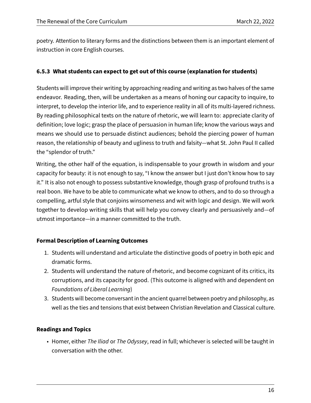poetry. Attention to literary forms and the distinctions between them is an important element of instruction in core English courses.

#### **6.5.3 What students can expect to get out of this course (explanation for students)**

Students will improve their writing by approaching reading and writing as two halves of the same endeavor. Reading, then, will be undertaken as a means of honing our capacity to inquire, to interpret, to develop the interior life, and to experience reality in all of its multi-layered richness. By reading philosophical texts on the nature of rhetoric, we will learn to: appreciate clarity of definition; love logic; grasp the place of persuasion in human life; know the various ways and means we should use to persuade distinct audiences; behold the piercing power of human reason, the relationship of beauty and ugliness to truth and falsity—what St. John Paul II called the "splendor of truth."

Writing, the other half of the equation, is indispensable to your growth in wisdom and your capacity for beauty: it is not enough to say, "I know the answer but I just don't know how to say it." It is also not enough to possess substantive knowledge, though grasp of profound truths is a real boon. We have to be able to communicate what we know to others, and to do so through a compelling, artful style that conjoins winsomeness and wit with logic and design. We will work together to develop writing skills that will help you convey clearly and persuasively and—of utmost importance—in a manner committed to the truth.

#### **Formal Description of Learning Outcomes**

- 1. Students will understand and articulate the distinctive goods of poetry in both epic and dramatic forms.
- 2. Students will understand the nature of rhetoric, and become cognizant of its critics, its corruptions, and its capacity for good. (This outcome is aligned with and dependent on Foundations of Liberal Learning)
- 3. Students will become conversant in the ancient quarrel between poetry and philosophy, as well as the ties and tensions that exist between Christian Revelation and Classical culture.

#### **Readings and Topics**

• Homer, either The Iliad or The Odyssey, read in full; whichever is selected will be taught in conversation with the other.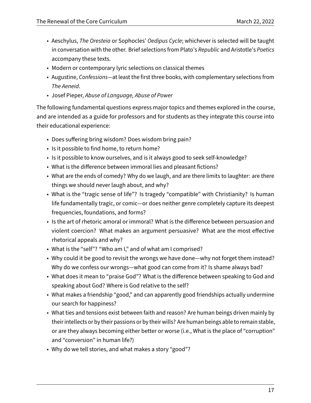- Aeschylus, The Oresteia or Sophocles' Oedipus Cycle; whichever is selected will be taught in conversation with the other. Brief selections from Plato's Republic and Aristotle's Poetics accompany these texts.
- Modern or contemporary lyric selections on classical themes
- Augustine, Confessions—at least the first three books, with complementary selections from The Aeneid.
- Josef Pieper, Abuse of Language, Abuse of Power

The following fundamental questions express major topics and themes explored in the course, and are intended as a guide for professors and for students as they integrate this course into their educational experience:

- Does suffering bring wisdom? Does wisdom bring pain?
- Is it possible to find home, to return home?
- Is it possible to know ourselves, and is it always good to seek self-knowledge?
- What is the difference between immoral lies and pleasant fictions?
- What are the ends of comedy? Why do we laugh, and are there limits to laughter: are there things we should never laugh about, and why?
- What is the "tragic sense of life"? Is tragedy "compatible" with Christianity? Is human life fundamentally tragic, or comic—or does neither genre completely capture its deepest frequencies, foundations, and forms?
- Is the art of rhetoric amoral or immoral? What is the difference between persuasion and violent coercion? What makes an argument persuasive? What are the most effective rhetorical appeals and why?
- What is the "self"? "Who am I," and of what am I comprised?
- Why could it be good to revisit the wrongs we have done—why not forget them instead? Why do we confess our wrongs—what good can come from it? Is shame always bad?
- What does it mean to "praise God"? What is the difference between speaking to God and speaking about God? Where is God relative to the self?
- What makes a friendship "good," and can apparently good friendships actually undermine our search for happiness?
- What ties and tensions exist between faith and reason? Are human beings driven mainly by their intellects or by their passions or by their wills? Are human beings able to remain stable, or are they always becoming either better or worse (i.e., What is the place of "corruption" and "conversion" in human life?)
- Why do we tell stories, and what makes a story "good"?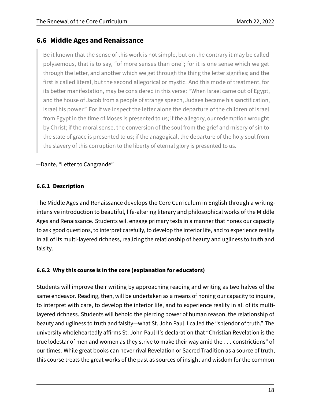# **6.6 Middle Ages and Renaissance**

Be it known that the sense of this work is not simple, but on the contrary it may be called polysemous, that is to say, "of more senses than one"; for it is one sense which we get through the letter, and another which we get through the thing the letter signifies; and the first is called literal, but the second allegorical or mystic. And this mode of treatment, for its better manifestation, may be considered in this verse: "When lsrael came out of Egypt, and the house of Jacob from a people of strange speech, Judaea became his sanctification, Israel his power." For if we inspect the letter alone the departure of the children of Israel from Egypt in the time of Moses is presented to us; if the allegory, our redemption wrought by Christ; if the moral sense, the conversion of the soul from the grief and misery of sin to the state of grace is presented to us; if the anagogical, the departure of the holy soul from the slavery of this corruption to the liberty of eternal glory is presented to us.

#### —Dante, "Letter to Cangrande"

## **6.6.1 Description**

The Middle Ages and Renaissance develops the Core Curriculum in English through a writingintensive introduction to beautiful, life-altering literary and philosophical works of the Middle Ages and Renaissance. Students will engage primary texts in a manner that hones our capacity to ask good questions, to interpret carefully, to develop the interior life, and to experience reality in all of its multi-layered richness, realizing the relationship of beauty and ugliness to truth and falsity.

## **6.6.2 Why this course is in the core (explanation for educators)**

Students will improve their writing by approaching reading and writing as two halves of the same endeavor. Reading, then, will be undertaken as a means of honing our capacity to inquire, to interpret with care, to develop the interior life, and to experience reality in all of its multilayered richness. Students will behold the piercing power of human reason, the relationship of beauty and ugliness to truth and falsity—what St. John Paul II called the "splendor of truth." The university wholeheartedly affirms St. John Paul II's declaration that "Christian Revelation is the true lodestar of men and women as they strive to make their way amid the . . . constrictions" of our times. While great books can never rival Revelation or Sacred Tradition as a source of truth, this course treats the great works of the past as sources of insight and wisdom for the common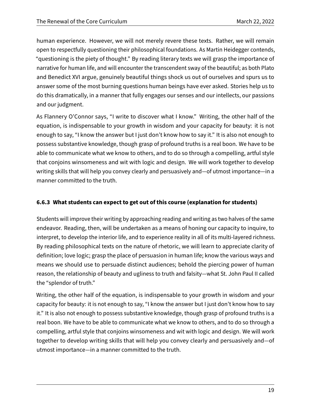human experience. However, we will not merely revere these texts. Rather, we will remain open to respectfully questioning their philosophical foundations. As Martin Heidegger contends, "questioning is the piety of thought." By reading literary texts we will grasp the importance of narrative for human life, and will encounter the transcendent sway of the beautiful; as both Plato and Benedict XVI argue, genuinely beautiful things shock us out of ourselves and spurs us to answer some of the most burning questions human beings have ever asked. Stories help us to do this dramatically, in a manner that fully engages our senses and our intellects, our passions and our judgment.

As Flannery O'Connor says, "I write to discover what I know." Writing, the other half of the equation, is indispensable to your growth in wisdom and your capacity for beauty: it is not enough to say, "I know the answer but I just don't know how to say it." It is also not enough to possess substantive knowledge, though grasp of profound truths is a real boon. We have to be able to communicate what we know to others, and to do so through a compelling, artful style that conjoins winsomeness and wit with logic and design. We will work together to develop writing skills that will help you convey clearly and persuasively and—of utmost importance—in a manner committed to the truth.

#### **6.6.3 What students can expect to get out of this course (explanation for students)**

Students will improve their writing by approaching reading and writing as two halves of the same endeavor. Reading, then, will be undertaken as a means of honing our capacity to inquire, to interpret, to develop the interior life, and to experience reality in all of its multi-layered richness. By reading philosophical texts on the nature of rhetoric, we will learn to appreciate clarity of definition; love logic; grasp the place of persuasion in human life; know the various ways and means we should use to persuade distinct audiences; behold the piercing power of human reason, the relationship of beauty and ugliness to truth and falsity—what St. John Paul II called the "splendor of truth."

Writing, the other half of the equation, is indispensable to your growth in wisdom and your capacity for beauty: it is not enough to say, "I know the answer but I just don't know how to say it." It is also not enough to possess substantive knowledge, though grasp of profound truths is a real boon. We have to be able to communicate what we know to others, and to do so through a compelling, artful style that conjoins winsomeness and wit with logic and design. We will work together to develop writing skills that will help you convey clearly and persuasively and—of utmost importance—in a manner committed to the truth.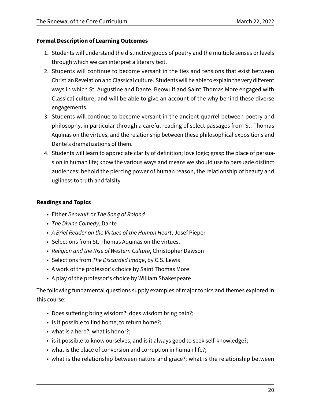#### **Formal Description of Learning Outcomes**

- 1. Students will understand the distinctive goods of poetry and the multiple senses or levels through which we can interpret a literary text.
- 2. Students will continue to become versant in the ties and tensions that exist between Christian Revelation and Classical culture. Students will be able to explain the very different ways in which St. Augustine and Dante, Beowulf and Saint Thomas More engaged with Classical culture, and will be able to give an account of the why behind these diverse engagements.
- 3. Students will continue to become versant in the ancient quarrel between poetry and philosophy, in particular through a careful reading of select passages from St. Thomas Aquinas on the virtues, and the relationship between these philosophical expositions and Dante's dramatizations of them.
- 4. Students will learn to appreciate clarity of definition; love logic; grasp the place of persuasion in human life; know the various ways and means we should use to persuade distinct audiences; behold the piercing power of human reason, the relationship of beauty and ugliness to truth and falsity

#### **Readings and Topics**

- Either Beowulf or The Song of Roland
- The Divine Comedy, Dante
- A Brief Reader on the Virtues of the Human Heart, Josef Pieper
- Selections from St. Thomas Aquinas on the virtues.
- Religion and the Rise of Western Culture, Christopher Dawson
- Selections from The Discarded Image, by C.S. Lewis
- A work of the professor's choice by Saint Thomas More
- A play of the professor's choice by William Shakespeare

The following fundamental questions supply examples of major topics and themes explored in this course:

- Does suffering bring wisdom?; does wisdom bring pain?;
- is it possible to find home, to return home?;
- what is a hero?; what is honor?;
- is it possible to know ourselves, and is it always good to seek self-knowledge?;
- what is the place of conversion and corruption in human life?;
- what is the relationship between nature and grace?; what is the relationship between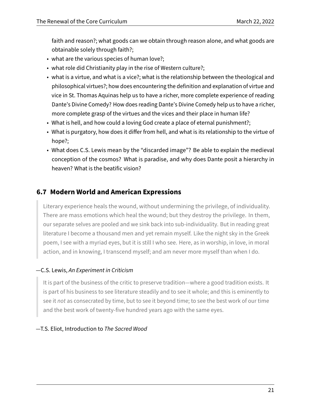faith and reason?; what goods can we obtain through reason alone, and what goods are obtainable solely through faith?;

- what are the various species of human love?;
- what role did Christianity play in the rise of Western culture?;
- what is a virtue, and what is a vice?; what is the relationship between the theological and philosophical virtues?; how does encountering the definition and explanation of virtue and vice in St. Thomas Aquinas help us to have a richer, more complete experience of reading Dante's Divine Comedy? How does reading Dante's Divine Comedy help us to have a richer, more complete grasp of the virtues and the vices and their place in human life?
- What is hell, and how could a loving God create a place of eternal punishment?;
- What is purgatory, how does it differ from hell, and what is its relationship to the virtue of hope?;
- What does C.S. Lewis mean by the "discarded image"? Be able to explain the medieval conception of the cosmos? What is paradise, and why does Dante posit a hierarchy in heaven? What is the beatific vision?

# **6.7 Modern World and American Expressions**

Literary experience heals the wound, without undermining the privilege, of individuality. There are mass emotions which heal the wound; but they destroy the privilege. In them, our separate selves are pooled and we sink back into sub-individuality. But in reading great literature I become a thousand men and yet remain myself. Like the night sky in the Greek poem, I see with a myriad eyes, but it is still I who see. Here, as in worship, in love, in moral action, and in knowing, I transcend myself; and am never more myself than when I do.

#### —C.S. Lewis, An Experiment in Criticism

It is part of the business of the critic to preserve tradition—where a good tradition exists. It is part of his business to see literature steadily and to see it whole; and this is eminently to see it not as consecrated by time, but to see it beyond time; to see the best work of our time and the best work of twenty-five hundred years ago with the same eyes.

—T.S. Eliot, Introduction to The Sacred Wood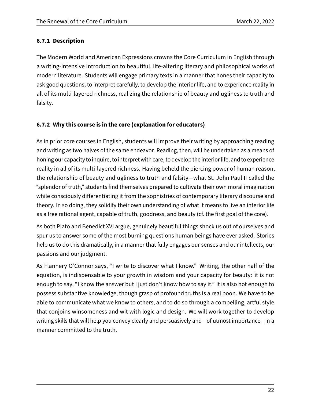#### **6.7.1 Description**

The Modern World and American Expressions crowns the Core Curriculum in English through a writing-intensive introduction to beautiful, life-altering literary and philosophical works of modern literature. Students will engage primary texts in a manner that hones their capacity to ask good questions, to interpret carefully, to develop the interior life, and to experience reality in all of its multi-layered richness, realizing the relationship of beauty and ugliness to truth and falsity.

#### **6.7.2 Why this course is in the core (explanation for educators)**

As in prior core courses in English, students will improve their writing by approaching reading and writing as two halves of the same endeavor. Reading, then, will be undertaken as a means of honing our capacity to inquire, to interpret with care, to develop the interior life, and to experience reality in all of its multi-layered richness. Having beheld the piercing power of human reason, the relationship of beauty and ugliness to truth and falsity—what St. John Paul II called the "splendor of truth," students find themselves prepared to cultivate their own moral imagination while consciously differentiating it from the sophistries of contemporary literary discourse and theory. In so doing, they solidify their own understanding of what it means to live an interior life as a free rational agent, capable of truth, goodness, and beauty (cf. the first goal of the core).

As both Plato and Benedict XVI argue, genuinely beautiful things shock us out of ourselves and spur us to answer some of the most burning questions human beings have ever asked. Stories help us to do this dramatically, in a manner that fully engages our senses and our intellects, our passions and our judgment.

As Flannery O'Connor says, "I write to discover what I know." Writing, the other half of the equation, is indispensable to your growth in wisdom and your capacity for beauty: it is not enough to say, "I know the answer but I just don't know how to say it." It is also not enough to possess substantive knowledge, though grasp of profound truths is a real boon. We have to be able to communicate what we know to others, and to do so through a compelling, artful style that conjoins winsomeness and wit with logic and design. We will work together to develop writing skills that will help you convey clearly and persuasively and—of utmost importance—in a manner committed to the truth.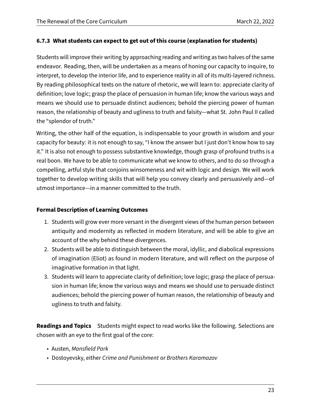#### **6.7.3 What students can expect to get out of this course (explanation for students)**

Students will improve their writing by approaching reading and writing as two halves of the same endeavor. Reading, then, will be undertaken as a means of honing our capacity to inquire, to interpret, to develop the interior life, and to experience reality in all of its multi-layered richness. By reading philosophical texts on the nature of rhetoric, we will learn to: appreciate clarity of definition; love logic; grasp the place of persuasion in human life; know the various ways and means we should use to persuade distinct audiences; behold the piercing power of human reason, the relationship of beauty and ugliness to truth and falsity—what St. John Paul II called the "splendor of truth."

Writing, the other half of the equation, is indispensable to your growth in wisdom and your capacity for beauty: it is not enough to say, "I know the answer but I just don't know how to say it." It is also not enough to possess substantive knowledge, though grasp of profound truths is a real boon. We have to be able to communicate what we know to others, and to do so through a compelling, artful style that conjoins winsomeness and wit with logic and design. We will work together to develop writing skills that will help you convey clearly and persuasively and—of utmost importance—in a manner committed to the truth.

#### **Formal Description of Learning Outcomes**

- 1. Students will grow ever more versant in the divergent views of the human person between antiquity and modernity as reflected in modern literature, and will be able to give an account of the why behind these divergences.
- 2. Students will be able to distinguish between the moral, idyllic, and diabolical expressions of imagination (Eliot) as found in modern literature, and will reflect on the purpose of imaginative formation in that light.
- 3. Students will learn to appreciate clarity of definition; love logic; grasp the place of persuasion in human life; know the various ways and means we should use to persuade distinct audiences; behold the piercing power of human reason, the relationship of beauty and ugliness to truth and falsity.

**Readings and Topics** Students might expect to read works like the following. Selections are chosen with an eye to the first goal of the core:

- Austen, Mansfield Park
- Dostoyevsky, either Crime and Punishment or Brothers Karamazov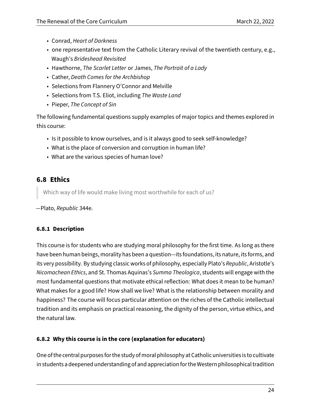- Conrad, Heart of Darkness
- one representative text from the Catholic Literary revival of the twentieth century, e.g., Waugh's Brideshead Revisited
- Hawthorne, The Scarlet Letter or James, The Portrait of a Lady
- Cather, Death Comes for the Archbishop
- Selections from Flannery O'Connor and Melville
- Selections from T.S. Eliot, including The Waste Land
- Pieper, The Concept of Sin

The following fundamental questions supply examples of major topics and themes explored in this course:

- Is it possible to know ourselves, and is it always good to seek self-knowledge?
- What is the place of conversion and corruption in human life?
- What are the various species of human love?

# **6.8 Ethics**

Which way of life would make living most worthwhile for each of us?

—Plato, Republic 344e.

#### **6.8.1 Description**

This course is for students who are studying moral philosophy for the first time. As long as there have been human beings, morality has been a question—its foundations, its nature, its forms, and its very possibility. By studying classic works of philosophy, especially Plato's Republic, Aristotle's Nicomachean Ethics, and St. Thomas Aquinas's Summa Theologica, students will engage with the most fundamental questions that motivate ethical reflection: What does it mean to be human? What makes for a good life? How shall we live? What is the relationship between morality and happiness? The course will focus particular attention on the riches of the Catholic intellectual tradition and its emphasis on practical reasoning, the dignity of the person, virtue ethics, and the natural law.

## **6.8.2 Why this course is in the core (explanation for educators)**

One of the central purposesfor the study of moral philosophy at Catholic universities is to cultivate in students a deepened understanding of and appreciation for the Western philosophical tradition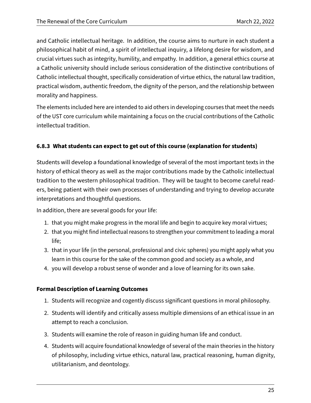and Catholic intellectual heritage. In addition, the course aims to nurture in each student a philosophical habit of mind, a spirit of intellectual inquiry, a lifelong desire for wisdom, and crucial virtues such as integrity, humility, and empathy. In addition, a general ethics course at a Catholic university should include serious consideration of the distinctive contributions of Catholic intellectual thought, specifically consideration of virtue ethics, the natural law tradition, practical wisdom, authentic freedom, the dignity of the person, and the relationship between morality and happiness.

The elements included here are intended to aid others in developing courses that meet the needs of the UST core curriculum while maintaining a focus on the crucial contributions of the Catholic intellectual tradition.

## **6.8.3 What students can expect to get out of this course (explanation for students)**

Students will develop a foundational knowledge of several of the most important texts in the history of ethical theory as well as the major contributions made by the Catholic intellectual tradition to the western philosophical tradition. They will be taught to become careful readers, being patient with their own processes of understanding and trying to develop accurate interpretations and thoughtful questions.

In addition, there are several goods for your life:

- 1. that you might make progress in the moral life and begin to acquire key moral virtues;
- 2. that you might find intellectual reasons to strengthen your commitment to leading a moral life;
- 3. that in your life (in the personal, professional and civic spheres) you might apply what you learn in this course for the sake of the common good and society as a whole, and
- 4. you will develop a robust sense of wonder and a love of learning for its own sake.

## **Formal Description of Learning Outcomes**

- 1. Students will recognize and cogently discuss significant questions in moral philosophy.
- 2. Students will identify and critically assess multiple dimensions of an ethical issue in an attempt to reach a conclusion.
- 3. Students will examine the role of reason in guiding human life and conduct.
- 4. Students will acquire foundational knowledge of several of the main theories in the history of philosophy, including virtue ethics, natural law, practical reasoning, human dignity, utilitarianism, and deontology.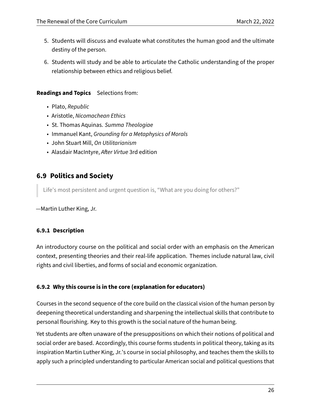- 5. Students will discuss and evaluate what constitutes the human good and the ultimate destiny of the person.
- 6. Students will study and be able to articulate the Catholic understanding of the proper relationship between ethics and religious belief.

#### **Readings and Topics** Selections from:

- Plato, Republic
- Aristotle, Nicomachean Ethics
- St. Thomas Aquinas. Summa Theologiae
- Immanuel Kant, Grounding for a Metaphysics of Morals
- John Stuart Mill, On Utilitarianism
- Alasdair MacIntyre, After Virtue 3rd edition

# **6.9 Politics and Society**

Life's most persistent and urgent question is, "What are you doing for others?"

—Martin Luther King, Jr.

#### **6.9.1 Description**

An introductory course on the political and social order with an emphasis on the American context, presenting theories and their real-life application. Themes include natural law, civil rights and civil liberties, and forms of social and economic organization.

#### **6.9.2 Why this course is in the core (explanation for educators)**

Courses in the second sequence of the core build on the classical vision of the human person by deepening theoretical understanding and sharpening the intellectual skills that contribute to personal flourishing. Key to this growth is the social nature of the human being.

Yet students are often unaware of the presuppositions on which their notions of political and social order are based. Accordingly, this course forms students in political theory, taking as its inspiration Martin Luther King, Jr.'s course in social philosophy, and teaches them the skills to apply such a principled understanding to particular American social and political questions that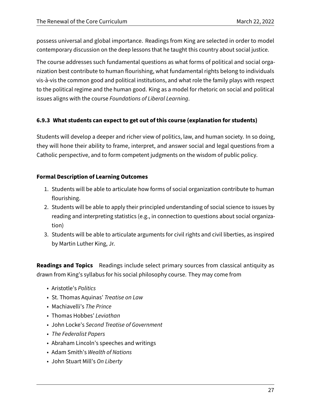possess universal and global importance. Readings from King are selected in order to model contemporary discussion on the deep lessons that he taught this country about social justice.

The course addresses such fundamental questions as what forms of political and social organization best contribute to human flourishing, what fundamental rights belong to individuals vis-à-vis the common good and political institutions, and what role the family plays with respect to the political regime and the human good. King as a model for rhetoric on social and political issues aligns with the course Foundations of Liberal Learning.

#### **6.9.3 What students can expect to get out of this course (explanation for students)**

Students will develop a deeper and richer view of politics, law, and human society. In so doing, they will hone their ability to frame, interpret, and answer social and legal questions from a Catholic perspective, and to form competent judgments on the wisdom of public policy.

#### **Formal Description of Learning Outcomes**

- 1. Students will be able to articulate how forms of social organization contribute to human flourishing.
- 2. Students will be able to apply their principled understanding of social science to issues by reading and interpreting statistics (e.g., in connection to questions about social organization)
- 3. Students will be able to articulate arguments for civil rights and civil liberties, as inspired by Martin Luther King, Jr.

**Readings and Topics** Readings include select primary sources from classical antiquity as drawn from King's syllabus for his social philosophy course. They may come from

- Aristotle's Politics
- St. Thomas Aquinas' Treatise on Law
- Machiavelli's The Prince
- Thomas Hobbes' Leviathan
- John Locke's Second Treatise of Government
- The Federalist Papers
- Abraham Lincoln's speeches and writings
- Adam Smith's Wealth of Nations
- John Stuart Mill's On Liberty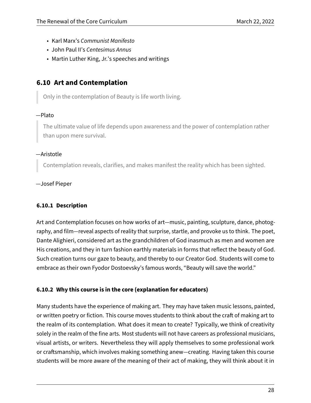- Karl Marx's Communist Manifesto
- John Paul II's Centesimus Annus
- Martin Luther King, Jr.'s speeches and writings

## **6.10 Art and Contemplation**

Only in the contemplation of Beauty is life worth living.

#### —Plato

The ultimate value of life depends upon awareness and the power of contemplation rather than upon mere survival.

#### —Aristotle

Contemplation reveals, clarifies, and makes manifest the reality which has been sighted.

—Josef Pieper

#### **6.10.1 Description**

Art and Contemplation focuses on how works of art—music, painting, sculpture, dance, photography, and film—reveal aspects of reality that surprise, startle, and provoke us to think. The poet, Dante Alighieri, considered art as the grandchildren of God inasmuch as men and women are His creations, and they in turn fashion earthly materials in forms that reflect the beauty of God. Such creation turns our gaze to beauty, and thereby to our Creator God. Students will come to embrace as their own Fyodor Dostoevsky's famous words, "Beauty will save the world."

#### **6.10.2 Why this course is in the core (explanation for educators)**

Many students have the experience of making art. They may have taken music lessons, painted, or written poetry or fiction. This course moves students to think about the craft of making art to the realm of its contemplation. What does it mean to create? Typically, we think of creativity solely in the realm of the fine arts. Most students will not have careers as professional musicians, visual artists, or writers. Nevertheless they will apply themselves to some professional work or craftsmanship, which involves making something anew—creating. Having taken this course students will be more aware of the meaning of their act of making, they will think about it in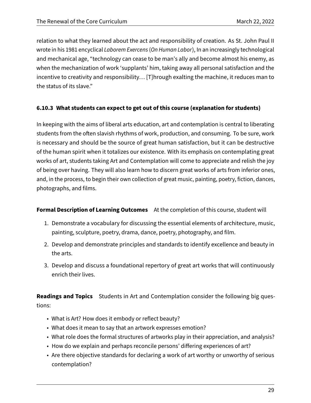relation to what they learned about the act and responsibility of creation. As St. John Paul II wrote in his 1981 encyclical Laborem Exercens (On Human Labor), In an increasingly technological and mechanical age, "technology can cease to be man's ally and become almost his enemy, as when the mechanization of work 'supplants' him, taking away all personal satisfaction and the incentive to creativity and responsibility… [T]hrough exalting the machine, it reduces man to the status of its slave."

#### **6.10.3 What students can expect to get out of this course (explanation for students)**

In keeping with the aims of liberal arts education, art and contemplation is central to liberating students from the often slavish rhythms of work, production, and consuming. To be sure, work is necessary and should be the source of great human satisfaction, but it can be destructive of the human spirit when it totalizes our existence. With its emphasis on contemplating great works of art, students taking Art and Contemplation will come to appreciate and relish the joy of being over having. They will also learn how to discern great works of arts from inferior ones, and, in the process, to begin their own collection of great music, painting, poetry, fiction, dances, photographs, and films.

#### **Formal Description of Learning Outcomes** At the completion of this course, student will

- 1. Demonstrate a vocabulary for discussing the essential elements of architecture, music, painting, sculpture, poetry, drama, dance, poetry, photography, and film.
- 2. Develop and demonstrate principles and standards to identify excellence and beauty in the arts.
- 3. Develop and discuss a foundational repertory of great art works that will continuously enrich their lives.

**Readings and Topics** Students in Art and Contemplation consider the following big questions:

- What is Art? How does it embody or reflect beauty?
- What does it mean to say that an artwork expresses emotion?
- What role does the formal structures of artworks play in their appreciation, and analysis?
- How do we explain and perhaps reconcile persons' differing experiences of art?
- Are there objective standards for declaring a work of art worthy or unworthy of serious contemplation?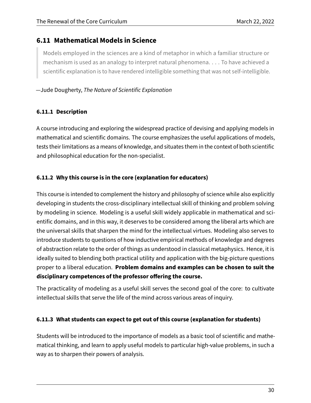# **6.11 Mathematical Models in Science**

Models employed in the sciences are a kind of metaphor in which a familiar structure or mechanism is used as an analogy to interpret natural phenomena. . . . To have achieved a scientific explanation is to have rendered intelligible something that was not self-intelligible.

#### —Jude Dougherty, The Nature of Scientific Explanation

#### **6.11.1 Description**

A course introducing and exploring the widespread practice of devising and applying models in mathematical and scientific domains. The course emphasizes the useful applications of models, tests their limitations as a means of knowledge, and situates them in the context of both scientific and philosophical education for the non-specialist.

#### **6.11.2 Why this course is in the core (explanation for educators)**

This course is intended to complement the history and philosophy of science while also explicitly developing in students the cross-disciplinary intellectual skill of thinking and problem solving by modeling in science. Modeling is a useful skill widely applicable in mathematical and scientific domains, and in this way, it deserves to be considered among the liberal arts which are the universal skills that sharpen the mind for the intellectual virtues. Modeling also serves to introduce students to questions of how inductive empirical methods of knowledge and degrees of abstraction relate to the order of things as understood in classical metaphysics. Hence, it is ideally suited to blending both practical utility and application with the big-picture questions proper to a liberal education. **Problem domains and examples can be chosen to suit the disciplinary competences of the professor offering the course.**

The practicality of modeling as a useful skill serves the second goal of the core: to cultivate intellectual skills that serve the life of the mind across various areas of inquiry.

#### **6.11.3 What students can expect to get out of this course (explanation for students)**

Students will be introduced to the importance of models as a basic tool of scientific and mathematical thinking, and learn to apply useful models to particular high-value problems, in such a way as to sharpen their powers of analysis.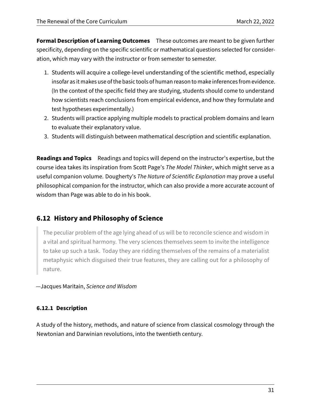**Formal Description of Learning Outcomes** These outcomes are meant to be given further specificity, depending on the specific scientific or mathematical questions selected for consideration, which may vary with the instructor or from semester to semester.

- 1. Students will acquire a college-level understanding of the scientific method, especially insofar as it makes use of the basic tools of human reason to make inferences from evidence. (In the context of the specific field they are studying, students should come to understand how scientists reach conclusions from empirical evidence, and how they formulate and test hypotheses experimentally.)
- 2. Students will practice applying multiple models to practical problem domains and learn to evaluate their explanatory value.
- 3. Students will distinguish between mathematical description and scientific explanation.

**Readings and Topics** Readings and topics will depend on the instructor's expertise, but the course idea takes its inspiration from Scott Page's The Model Thinker, which might serve as a useful companion volume. Dougherty's The Nature of Scientific Explanation may prove a useful philosophical companion for the instructor, which can also provide a more accurate account of wisdom than Page was able to do in his book.

# **6.12 History and Philosophy of Science**

The peculiar problem of the age lying ahead of us will be to reconcile science and wisdom in a vital and spiritual harmony. The very sciences themselves seem to invite the intelligence to take up such a task. Today they are ridding themselves of the remains of a materialist metaphysic which disguised their true features, they are calling out for a philosophy of nature.

—Jacques Maritain, Science and Wisdom

#### **6.12.1 Description**

A study of the history, methods, and nature of science from classical cosmology through the Newtonian and Darwinian revolutions, into the twentieth century.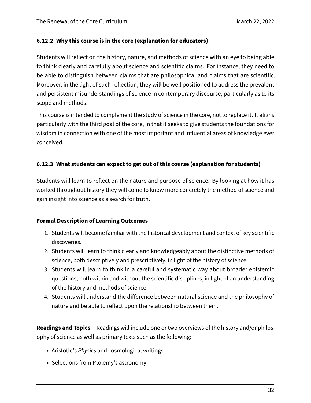#### **6.12.2 Why this course is in the core (explanation for educators)**

Students will reflect on the history, nature, and methods of science with an eye to being able to think clearly and carefully about science and scientific claims. For instance, they need to be able to distinguish between claims that are philosophical and claims that are scientific. Moreover, in the light of such reflection, they will be well positioned to address the prevalent and persistent misunderstandings of science in contemporary discourse, particularly as to its scope and methods.

This course is intended to complement the study of science in the core, not to replace it. It aligns particularly with the third goal of the core, in that it seeks to give students the foundations for wisdom in connection with one of the most important and influential areas of knowledge ever conceived.

#### **6.12.3 What students can expect to get out of this course (explanation for students)**

Students will learn to reflect on the nature and purpose of science. By looking at how it has worked throughout history they will come to know more concretely the method of science and gain insight into science as a search for truth.

#### **Formal Description of Learning Outcomes**

- 1. Students will become familiar with the historical development and context of key scientific discoveries.
- 2. Students will learn to think clearly and knowledgeably about the distinctive methods of science, both descriptively and prescriptively, in light of the history of science.
- 3. Students will learn to think in a careful and systematic way about broader epistemic questions, both within and without the scientific disciplines, in light of an understanding of the history and methods of science.
- 4. Students will understand the difference between natural science and the philosophy of nature and be able to reflect upon the relationship between them.

**Readings and Topics** Readings will include one or two overviews of the history and/or philosophy of science as well as primary texts such as the following:

- Aristotle's Physics and cosmological writings
- Selections from Ptolemy's astronomy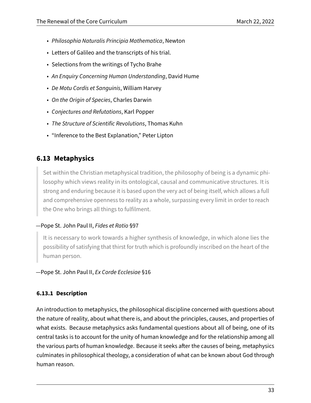- Philosophia Naturalis Principia Mathematica, Newton
- Letters of Galileo and the transcripts of his trial.
- Selections from the writings of Tycho Brahe
- An Enquiry Concerning Human Understanding, David Hume
- De Motu Cordis et Sanguinis, William Harvey
- On the Origin of Species, Charles Darwin
- Conjectures and Refutations, Karl Popper
- The Structure of Scientific Revolutions, Thomas Kuhn
- "Inference to the Best Explanation," Peter Lipton

# **6.13 Metaphysics**

Set within the Christian metaphysical tradition, the philosophy of being is a dynamic philosophy which views reality in its ontological, causal and communicative structures. It is strong and enduring because it is based upon the very act of being itself, which allows a full and comprehensive openness to reality as a whole, surpassing every limit in order to reach the One who brings all things to fulfilment.

#### —Pope St. John Paul II, Fides et Ratio §97

It is necessary to work towards a higher synthesis of knowledge, in which alone lies the possibility of satisfying that thirst for truth which is profoundly inscribed on the heart of the human person.

—Pope St. John Paul II, Ex Corde Ecclesiae §16

#### **6.13.1 Description**

An introduction to metaphysics, the philosophical discipline concerned with questions about the nature of reality, about what there is, and about the principles, causes, and properties of what exists. Because metaphysics asks fundamental questions about all of being, one of its central tasks is to account for the unity of human knowledge and for the relationship among all the various parts of human knowledge. Because it seeks after the causes of being, metaphysics culminates in philosophical theology, a consideration of what can be known about God through human reason.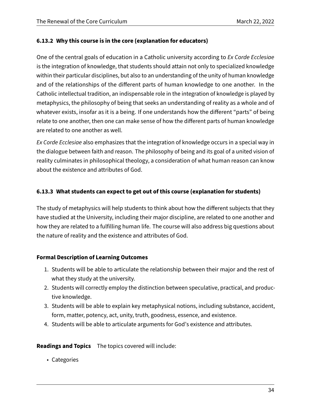#### **6.13.2 Why this course is in the core (explanation for educators)**

One of the central goals of education in a Catholic university according to Ex Corde Ecclesiae is the integration of knowledge, that students should attain not only to specialized knowledge within their particular disciplines, but also to an understanding of the unity of human knowledge and of the relationships of the different parts of human knowledge to one another. In the Catholic intellectual tradition, an indispensable role in the integration of knowledge is played by metaphysics, the philosophy of being that seeks an understanding of reality as a whole and of whatever exists, insofar as it is a being. If one understands how the different "parts" of being relate to one another, then one can make sense of how the different parts of human knowledge are related to one another as well.

Ex Corde Ecclesiae also emphasizes that the integration of knowledge occurs in a special way in the dialogue between faith and reason. The philosophy of being and its goal of a united vision of reality culminates in philosophical theology, a consideration of what human reason can know about the existence and attributes of God.

#### **6.13.3 What students can expect to get out of this course (explanation for students)**

The study of metaphysics will help students to think about how the different subjects that they have studied at the University, including their major discipline, are related to one another and how they are related to a fulfilling human life. The course will also address big questions about the nature of reality and the existence and attributes of God.

#### **Formal Description of Learning Outcomes**

- 1. Students will be able to articulate the relationship between their major and the rest of what they study at the university.
- 2. Students will correctly employ the distinction between speculative, practical, and productive knowledge.
- 3. Students will be able to explain key metaphysical notions, including substance, accident, form, matter, potency, act, unity, truth, goodness, essence, and existence.
- 4. Students will be able to articulate arguments for God's existence and attributes.

**Readings and Topics** The topics covered will include:

• Categories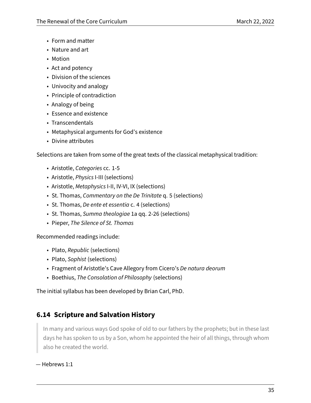- Form and matter
- Nature and art
- Motion
- Act and potency
- Division of the sciences
- Univocity and analogy
- Principle of contradiction
- Analogy of being
- Essence and existence
- Transcendentals
- Metaphysical arguments for God's existence
- Divine attributes

Selections are taken from some of the great texts of the classical metaphysical tradition:

- Aristotle, Categories cc. 1-5
- Aristotle, Physics I-III (selections)
- Aristotle, Metaphysics I-II, IV-VI, IX (selections)
- St. Thomas, Commentary on the De Trinitate q. 5 (selections)
- St. Thomas, De ente et essentia c. 4 (selections)
- St. Thomas, Summa theologiae 1a qq. 2-26 (selections)
- Pieper, The Silence of St. Thomas

Recommended readings include:

- Plato, Republic (selections)
- Plato, Sophist (selections)
- Fragment of Aristotle's Cave Allegory from Cicero's De natura deorum
- Boethius, The Consolation of Philosophy (selections)

The initial syllabus has been developed by Brian Carl, PhD.

# **6.14 Scripture and Salvation History**

In many and various ways God spoke of old to our fathers by the prophets; but in these last days he has spoken to us by a Son, whom he appointed the heir of all things, through whom also he created the world.

— Hebrews 1:1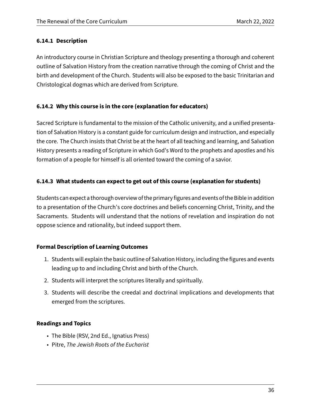#### **6.14.1 Description**

An introductory course in Christian Scripture and theology presenting a thorough and coherent outline of Salvation History from the creation narrative through the coming of Christ and the birth and development of the Church. Students will also be exposed to the basic Trinitarian and Christological dogmas which are derived from Scripture.

#### **6.14.2 Why this course is in the core (explanation for educators)**

Sacred Scripture is fundamental to the mission of the Catholic university, and a unified presentation of Salvation History is a constant guide for curriculum design and instruction, and especially the core. The Church insists that Christ be at the heart of all teaching and learning, and Salvation History presents a reading of Scripture in which God's Word to the prophets and apostles and his formation of a people for himself is all oriented toward the coming of a savior.

#### **6.14.3 What students can expect to get out of this course (explanation for students)**

Students can expect a thorough overview of the primary figures and events of the Bible in addition to a presentation of the Church's core doctrines and beliefs concerning Christ, Trinity, and the Sacraments. Students will understand that the notions of revelation and inspiration do not oppose science and rationality, but indeed support them.

#### **Formal Description of Learning Outcomes**

- 1. Students will explain the basic outline of Salvation History, including the figures and events leading up to and including Christ and birth of the Church.
- 2. Students will interpret the scriptures literally and spiritually.
- 3. Students will describe the creedal and doctrinal implications and developments that emerged from the scriptures.

#### **Readings and Topics**

- The Bible (RSV, 2nd Ed., Ignatius Press)
- Pitre, The Jewish Roots of the Eucharist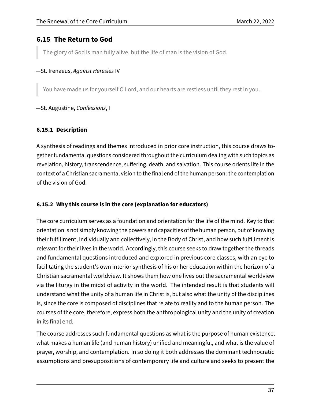## **6.15 The Return to God**

The glory of God is man fully alive, but the life of man is the vision of God.

#### —St. Irenaeus, Against Heresies IV

You have made us for yourself O Lord, and our hearts are restless until they rest in you.

#### —St. Augustine, Confessions, I

#### **6.15.1 Description**

A synthesis of readings and themes introduced in prior core instruction, this course draws together fundamental questions considered throughout the curriculum dealing with such topics as revelation, history, transcendence, suffering, death, and salvation. This course orients life in the context of a Christian sacramental vision to the final end of the human person: the contemplation of the vision of God.

#### **6.15.2 Why this course is in the core (explanation for educators)**

The core curriculum serves as a foundation and orientation for the life of the mind. Key to that orientation is not simply knowing the powers and capacities of the human person, but of knowing their fulfillment, individually and collectively, in the Body of Christ, and how such fulfillment is relevant for their lives in the world. Accordingly, this course seeks to draw together the threads and fundamental questions introduced and explored in previous core classes, with an eye to facilitating the student's own interior synthesis of his or her education within the horizon of a Christian sacramental worldview. It shows them how one lives out the sacramental worldview via the liturgy in the midst of activity in the world. The intended result is that students will understand what the unity of a human life in Christ is, but also what the unity of the disciplines is, since the core is composed of disciplines that relate to reality and to the human person. The courses of the core, therefore, express both the anthropological unity and the unity of creation in its final end.

The course addresses such fundamental questions as what is the purpose of human existence, what makes a human life (and human history) unified and meaningful, and what is the value of prayer, worship, and contemplation. In so doing it both addresses the dominant technocratic assumptions and presuppositions of contemporary life and culture and seeks to present the